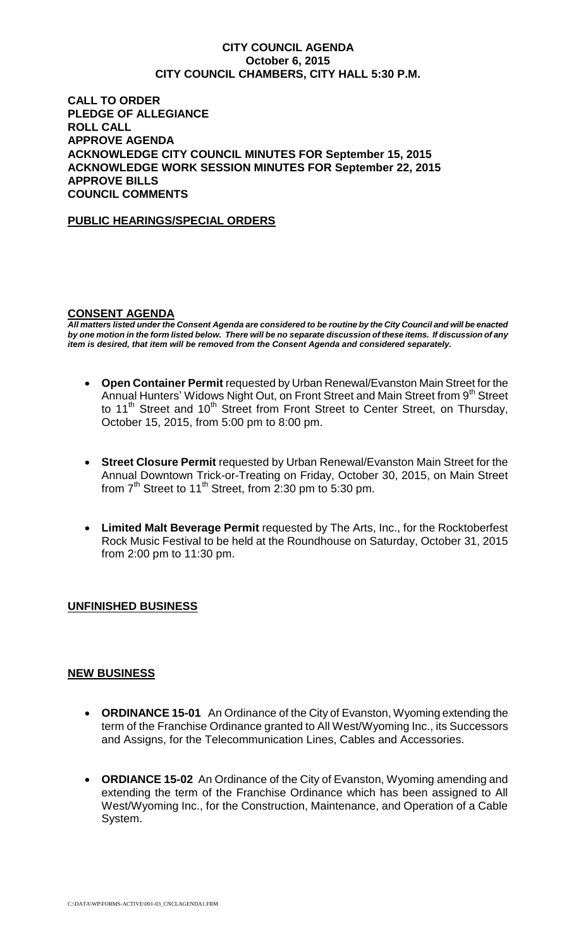#### **CITY COUNCIL AGENDA October 6, 2015 CITY COUNCIL CHAMBERS, CITY HALL 5:30 P.M.**

**CALL TO ORDER PLEDGE OF ALLEGIANCE ROLL CALL APPROVE AGENDA ACKNOWLEDGE CITY COUNCIL MINUTES FOR September 15, 2015 ACKNOWLEDGE WORK SESSION MINUTES FOR September 22, 2015 APPROVE BILLS COUNCIL COMMENTS**

### **PUBLIC HEARINGS/SPECIAL ORDERS**

### **CONSENT AGENDA**

*All matters listed under the Consent Agenda are considered to be routine by the City Council and will be enacted by one motion in the form listed below. There will be no separate discussion of these items. If discussion of any item is desired, that item will be removed from the Consent Agenda and considered separately.*

- **Open Container Permit** requested by Urban Renewal/Evanston Main Street for the Annual Hunters' Widows Night Out, on Front Street and Main Street from 9<sup>th</sup> Street to 11<sup>th</sup> Street and 10<sup>th</sup> Street from Front Street to Center Street, on Thursday, October 15, 2015, from 5:00 pm to 8:00 pm.
- **Street Closure Permit** requested by Urban Renewal/Evanston Main Street for the Annual Downtown Trick-or-Treating on Friday, October 30, 2015, on Main Street from  $7<sup>th</sup>$  Street to 11<sup>th</sup> Street, from 2:30 pm to 5:30 pm.
- **Limited Malt Beverage Permit** requested by The Arts, Inc., for the Rocktoberfest Rock Music Festival to be held at the Roundhouse on Saturday, October 31, 2015 from 2:00 pm to 11:30 pm.

# **UNFINISHED BUSINESS**

#### **NEW BUSINESS**

- **ORDINANCE 15-01** An Ordinance of the City of Evanston, Wyoming extending the term of the Franchise Ordinance granted to All West/Wyoming Inc., its Successors and Assigns, for the Telecommunication Lines, Cables and Accessories.
- **ORDIANCE 15-02** An Ordinance of the City of Evanston, Wyoming amending and extending the term of the Franchise Ordinance which has been assigned to All West/Wyoming Inc., for the Construction, Maintenance, and Operation of a Cable System.